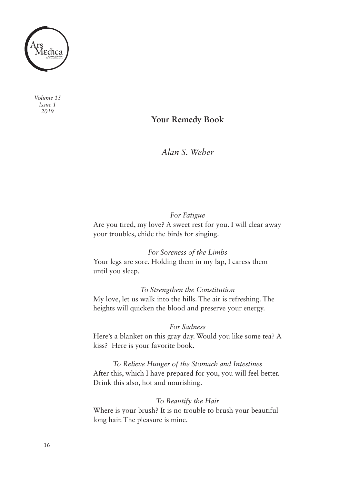

*Volume 15 Issue 1 2019*

## **Your Remedy Book**

*Alan S. Weber*

## *For Fatigue*

Are you tired, my love? A sweet rest for you. I will clear away your troubles, chide the birds for singing.

*For Soreness of the Limbs*

Your legs are sore. Holding them in my lap, I caress them until you sleep.

*To Strengthen the Constitution*

My love, let us walk into the hills. The air is refreshing. The heights will quicken the blood and preserve your energy.

## *For Sadness*

Here's a blanket on this gray day. Would you like some tea? A kiss? Here is your favorite book.

*To Relieve Hunger of the Stomach and Intestines* After this, which I have prepared for you, you will feel better. Drink this also, hot and nourishing.

## *To Beautify the Hair*

Where is your brush? It is no trouble to brush your beautiful long hair. The pleasure is mine.